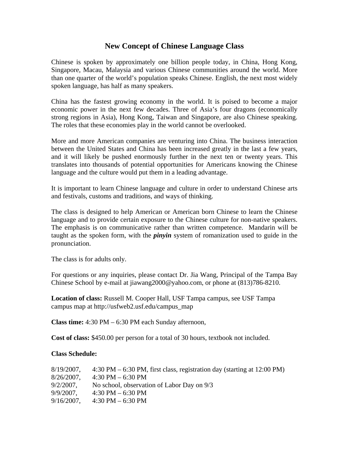## **New Concept of Chinese Language Class**

Chinese is spoken by approximately one billion people today, in China, Hong Kong, Singapore, Macau, Malaysia and various Chinese communities around the world. More than one quarter of the world's population speaks Chinese. English, the next most widely spoken language, has half as many speakers.

China has the fastest growing economy in the world. It is poised to become a major economic power in the next few decades. Three of Asia's four dragons (economically strong regions in Asia), Hong Kong, Taiwan and Singapore, are also Chinese speaking. The roles that these economies play in the world cannot be overlooked.

More and more American companies are venturing into China. The business interaction between the United States and China has been increased greatly in the last a few years, and it will likely be pushed enormously further in the next ten or twenty years. This translates into thousands of potential opportunities for Americans knowing the Chinese language and the culture would put them in a leading advantage.

It is important to learn Chinese language and culture in order to understand Chinese arts and festivals, customs and traditions, and ways of thinking.

The class is designed to help American or American born Chinese to learn the Chinese language and to provide certain exposure to the Chinese culture for non-native speakers. The emphasis is on communicative rather than written competence. Mandarin will be taught as the spoken form, with the *pinyin* system of romanization used to guide in the pronunciation.

The class is for adults only.

For questions or any inquiries, please contact Dr. Jia Wang, Principal of the Tampa Bay Chinese School by e-mail at jiawang2000@yahoo.com, or phone at (813)786-8210.

**Location of class:** Russell M. Cooper Hall, USF Tampa campus, see USF Tampa campus map at http://usfweb2.usf.edu/campus\_map

**Class time:** 4:30 PM – 6:30 PM each Sunday afternoon,

**Cost of class:** \$450.00 per person for a total of 30 hours, textbook not included.

## **Class Schedule:**

| $8/19/2007$ , | $4:30 \text{ PM} - 6:30 \text{ PM}$ , first class, registration day (starting at 12:00 PM) |
|---------------|--------------------------------------------------------------------------------------------|
| $8/26/2007$ , | $4:30$ PM $-6:30$ PM                                                                       |
| $9/2/2007$ ,  | No school, observation of Labor Day on 9/3                                                 |
| $9/9/2007$ ,  | 4:30 PM $-6:30$ PM                                                                         |
| $9/16/2007$ , | 4:30 PM $-$ 6:30 PM                                                                        |